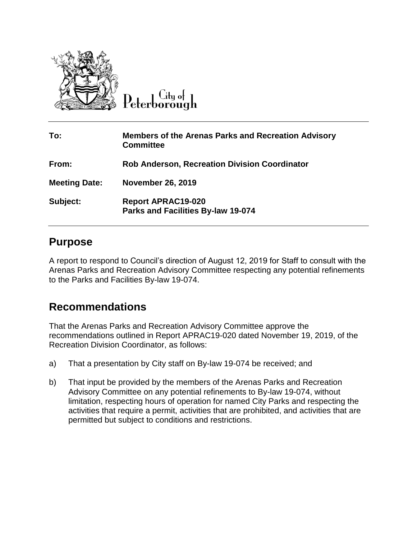

 $\overline{C}$ ity of Peterborough

| To:                  | <b>Members of the Arenas Parks and Recreation Advisory</b><br><b>Committee</b> |
|----------------------|--------------------------------------------------------------------------------|
| From:                | <b>Rob Anderson, Recreation Division Coordinator</b>                           |
| <b>Meeting Date:</b> | <b>November 26, 2019</b>                                                       |
| Subject:             | <b>Report APRAC19-020</b><br>Parks and Facilities By-law 19-074                |

#### **Purpose**

A report to respond to Council's direction of August 12, 2019 for Staff to consult with the Arenas Parks and Recreation Advisory Committee respecting any potential refinements to the Parks and Facilities By-law 19-074.

### **Recommendations**

That the Arenas Parks and Recreation Advisory Committee approve the recommendations outlined in Report APRAC19-020 dated November 19, 2019, of the Recreation Division Coordinator, as follows:

- a) That a presentation by City staff on By-law 19-074 be received; and
- b) That input be provided by the members of the Arenas Parks and Recreation Advisory Committee on any potential refinements to By-law 19-074, without limitation, respecting hours of operation for named City Parks and respecting the activities that require a permit, activities that are prohibited, and activities that are permitted but subject to conditions and restrictions.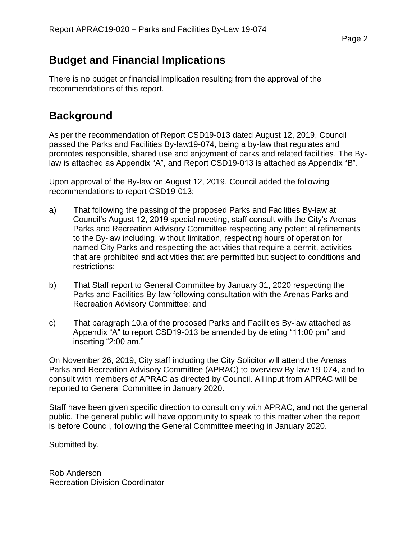## **Budget and Financial Implications**

There is no budget or financial implication resulting from the approval of the recommendations of this report.

# **Background**

As per the recommendation of Report CSD19-013 dated August 12, 2019, Council passed the Parks and Facilities By-law19-074, being a by-law that regulates and promotes responsible, shared use and enjoyment of parks and related facilities. The Bylaw is attached as Appendix "A", and Report CSD19-013 is attached as Appendix "B".

Upon approval of the By-law on August 12, 2019, Council added the following recommendations to report CSD19-013:

- a) That following the passing of the proposed Parks and Facilities By-law at Council's August 12, 2019 special meeting, staff consult with the City's Arenas Parks and Recreation Advisory Committee respecting any potential refinements to the By-law including, without limitation, respecting hours of operation for named City Parks and respecting the activities that require a permit, activities that are prohibited and activities that are permitted but subject to conditions and restrictions;
- b) That Staff report to General Committee by January 31, 2020 respecting the Parks and Facilities By-law following consultation with the Arenas Parks and Recreation Advisory Committee; and
- c) That paragraph 10.a of the proposed Parks and Facilities By-law attached as Appendix "A" to report CSD19-013 be amended by deleting "11:00 pm" and inserting "2:00 am."

On November 26, 2019, City staff including the City Solicitor will attend the Arenas Parks and Recreation Advisory Committee (APRAC) to overview By-law 19-074, and to consult with members of APRAC as directed by Council. All input from APRAC will be reported to General Committee in January 2020.

Staff have been given specific direction to consult only with APRAC, and not the general public. The general public will have opportunity to speak to this matter when the report is before Council, following the General Committee meeting in January 2020.

Submitted by,

Rob Anderson Recreation Division Coordinator